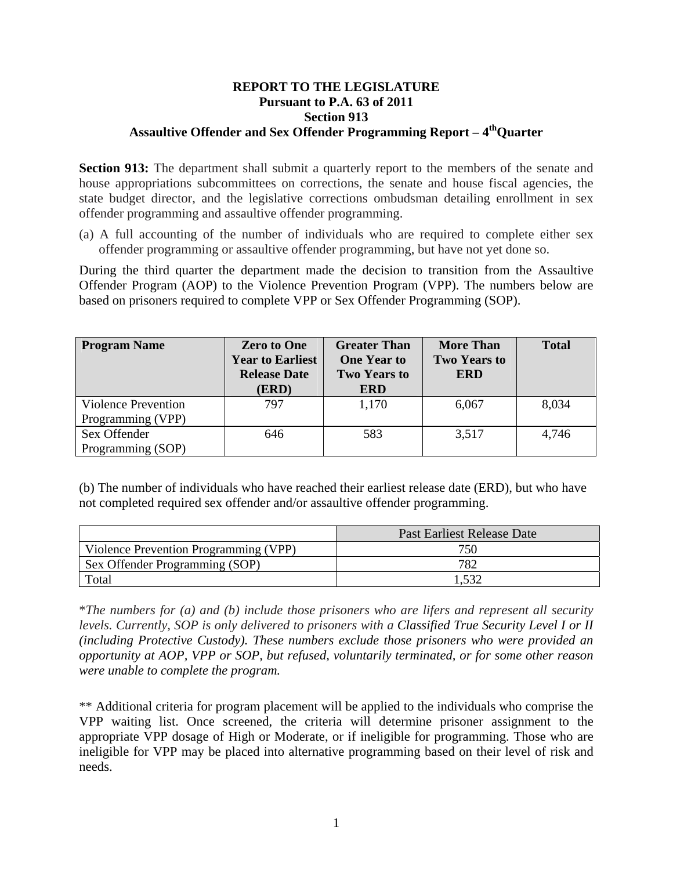## **REPORT TO THE LEGISLATURE Pursuant to P.A. 63 of 2011 Section 913**  Assaultive Offender and Sex Offender Programming Report – 4<sup>th</sup>Ouarter

**Section 913:** The department shall submit a quarterly report to the members of the senate and house appropriations subcommittees on corrections, the senate and house fiscal agencies, the state budget director, and the legislative corrections ombudsman detailing enrollment in sex offender programming and assaultive offender programming.

(a) A full accounting of the number of individuals who are required to complete either sex offender programming or assaultive offender programming, but have not yet done so.

During the third quarter the department made the decision to transition from the Assaultive Offender Program (AOP) to the Violence Prevention Program (VPP). The numbers below are based on prisoners required to complete VPP or Sex Offender Programming (SOP).

| <b>Program Name</b>        | <b>Zero to One</b><br><b>Year to Earliest</b><br><b>Release Date</b><br>(ERD) | <b>Greater Than</b><br><b>One Year to</b><br><b>Two Years to</b><br><b>ERD</b> | <b>More Than</b><br><b>Two Years to</b><br><b>ERD</b> | <b>Total</b> |
|----------------------------|-------------------------------------------------------------------------------|--------------------------------------------------------------------------------|-------------------------------------------------------|--------------|
| <b>Violence Prevention</b> | 797                                                                           | 1,170                                                                          | 6,067                                                 | 8,034        |
| Programming (VPP)          |                                                                               |                                                                                |                                                       |              |
| Sex Offender               | 646                                                                           | 583                                                                            | 3,517                                                 | 4,746        |
| Programming (SOP)          |                                                                               |                                                                                |                                                       |              |

(b) The number of individuals who have reached their earliest release date (ERD), but who have not completed required sex offender and/or assaultive offender programming.

|                                       | Past Earliest Release Date |  |
|---------------------------------------|----------------------------|--|
| Violence Prevention Programming (VPP) | 750                        |  |
| Sex Offender Programming (SOP)        | 782                        |  |
| Total                                 |                            |  |

\**The numbers for (a) and (b) include those prisoners who are lifers and represent all security levels. Currently, SOP is only delivered to prisoners with a Classified True Security Level I or II (including Protective Custody). These numbers exclude those prisoners who were provided an opportunity at AOP, VPP or SOP, but refused, voluntarily terminated, or for some other reason were unable to complete the program.* 

\*\* Additional criteria for program placement will be applied to the individuals who comprise the VPP waiting list. Once screened, the criteria will determine prisoner assignment to the appropriate VPP dosage of High or Moderate, or if ineligible for programming. Those who are ineligible for VPP may be placed into alternative programming based on their level of risk and needs.